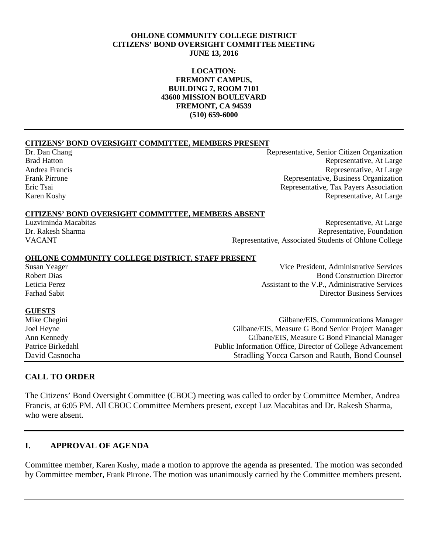#### **OHLONE COMMUNITY COLLEGE DISTRICT CITIZENS' BOND OVERSIGHT COMMITTEE MEETING JUNE 13, 2016**

#### **LOCATION: FREMONT CAMPUS, BUILDING 7, ROOM 7101 43600 MISSION BOULEVARD FREMONT, CA 94539 (510) 659-6000**

#### **CITIZENS' BOND OVERSIGHT COMMITTEE, MEMBERS PRESENT**

Dr. Dan Chang Representative, Senior Citizen Organization Brad Hatton Representative, At Large Representative, At Large Representative, At Large Representative, At Large Representative, At Large Frank Pirrone Representative, Business Organization Eric Tsai Representative, Tax Payers Association Karen Koshy Representative, At Large

#### **CITIZENS' BOND OVERSIGHT COMMITTEE, MEMBERS ABSENT**

Luzviminda Macabitas Representative, At Large Dr. Rakesh Sharma Representative, Foundation VACANT Representative, Associated Students of Ohlone College

# **OHLONE COMMUNITY COLLEGE DISTRICT, STAFF PRESENT**

Vice President, Administrative Services Robert Dias Bond Construction Director Leticia Perez Assistant to the V.P., Administrative Services Farhad Sabit Director Business Services

**GUESTS**<br>Mike Chegini

Gilbane/EIS, Communications Manager Joel Heyne Gilbane/EIS, Measure G Bond Senior Project Manager Ann Kennedy<br>
Public Information Office. Director of College Advancement<br>
Public Information Office. Director of College Advancement Public Information Office, Director of College Advancement David Casnocha Stradling Yocca Carson and Rauth, Bond Counsel

#### **CALL TO ORDER**

The Citizens' Bond Oversight Committee (CBOC) meeting was called to order by Committee Member, Andrea Francis, at 6:05 PM. All CBOC Committee Members present, except Luz Macabitas and Dr. Rakesh Sharma, who were absent.

# **I. APPROVAL OF AGENDA**

Committee member, Karen Koshy, made a motion to approve the agenda as presented. The motion was seconded by Committee member, Frank Pirrone. The motion was unanimously carried by the Committee members present.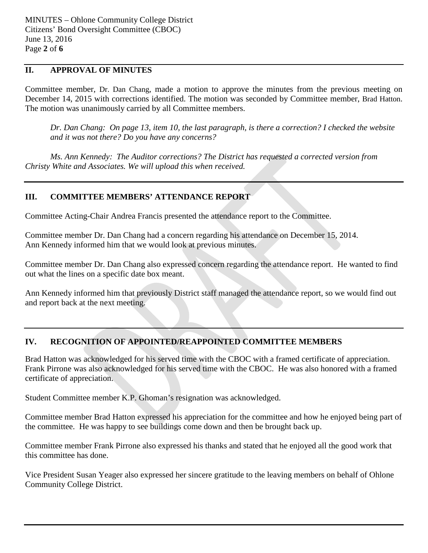# **II. APPROVAL OF MINUTES**

Committee member, Dr. Dan Chang, made a motion to approve the minutes from the previous meeting on December 14, 2015 with corrections identified. The motion was seconded by Committee member, Brad Hatton. The motion was unanimously carried by all Committee members.

*Dr. Dan Chang: On page 13, item 10, the last paragraph, is there a correction? I checked the website and it was not there? Do you have any concerns?*

*Ms. Ann Kennedy: The Auditor corrections? The District has requested a corrected version from Christy White and Associates. We will upload this when received.* 

# **III. COMMITTEE MEMBERS' ATTENDANCE REPORT**

Committee Acting-Chair Andrea Francis presented the attendance report to the Committee.

Committee member Dr. Dan Chang had a concern regarding his attendance on December 15, 2014. Ann Kennedy informed him that we would look at previous minutes.

Committee member Dr. Dan Chang also expressed concern regarding the attendance report. He wanted to find out what the lines on a specific date box meant.

Ann Kennedy informed him that previously District staff managed the attendance report, so we would find out and report back at the next meeting.

# **IV. RECOGNITION OF APPOINTED/REAPPOINTED COMMITTEE MEMBERS**

Brad Hatton was acknowledged for his served time with the CBOC with a framed certificate of appreciation. Frank Pirrone was also acknowledged for his served time with the CBOC. He was also honored with a framed certificate of appreciation.

Student Committee member K.P. Ghoman's resignation was acknowledged.

Committee member Brad Hatton expressed his appreciation for the committee and how he enjoyed being part of the committee. He was happy to see buildings come down and then be brought back up.

Committee member Frank Pirrone also expressed his thanks and stated that he enjoyed all the good work that this committee has done.

Vice President Susan Yeager also expressed her sincere gratitude to the leaving members on behalf of Ohlone Community College District.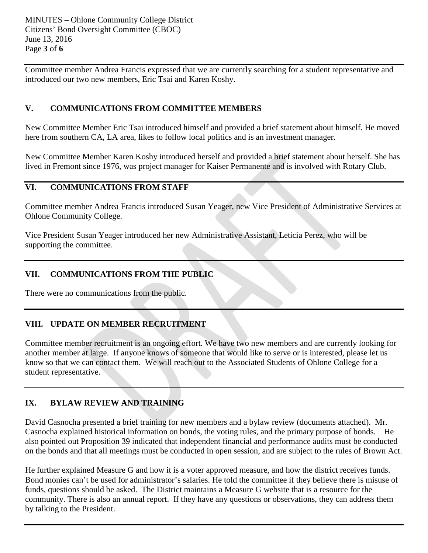MINUTES – Ohlone Community College District Citizens' Bond Oversight Committee (CBOC) June 13, 2016 Page **3** of **6**

Committee member Andrea Francis expressed that we are currently searching for a student representative and introduced our two new members, Eric Tsai and Karen Koshy.

# **V. COMMUNICATIONS FROM COMMITTEE MEMBERS**

New Committee Member Eric Tsai introduced himself and provided a brief statement about himself. He moved here from southern CA, LA area, likes to follow local politics and is an investment manager.

New Committee Member Karen Koshy introduced herself and provided a brief statement about herself. She has lived in Fremont since 1976, was project manager for Kaiser Permanente and is involved with Rotary Club.

#### **VI. COMMUNICATIONS FROM STAFF**

Committee member Andrea Francis introduced Susan Yeager, new Vice President of Administrative Services at Ohlone Community College.

Vice President Susan Yeager introduced her new Administrative Assistant, Leticia Perez, who will be supporting the committee.

# **VII. COMMUNICATIONS FROM THE PUBLIC**

There were no communications from the public.

# **VIII. UPDATE ON MEMBER RECRUITMENT**

Committee member recruitment is an ongoing effort. We have two new members and are currently looking for another member at large. If anyone knows of someone that would like to serve or is interested, please let us know so that we can contact them. We will reach out to the Associated Students of Ohlone College for a student representative.

# **IX. BYLAW REVIEW AND TRAINING**

David Casnocha presented a brief training for new members and a bylaw review (documents attached). Mr. Casnocha explained historical information on bonds, the voting rules, and the primary purpose of bonds. He also pointed out Proposition 39 indicated that independent financial and performance audits must be conducted on the bonds and that all meetings must be conducted in open session, and are subject to the rules of Brown Act.

He further explained Measure G and how it is a voter approved measure, and how the district receives funds. Bond monies can't be used for administrator's salaries. He told the committee if they believe there is misuse of funds, questions should be asked. The District maintains a Measure G website that is a resource for the community. There is also an annual report. If they have any questions or observations, they can address them by talking to the President.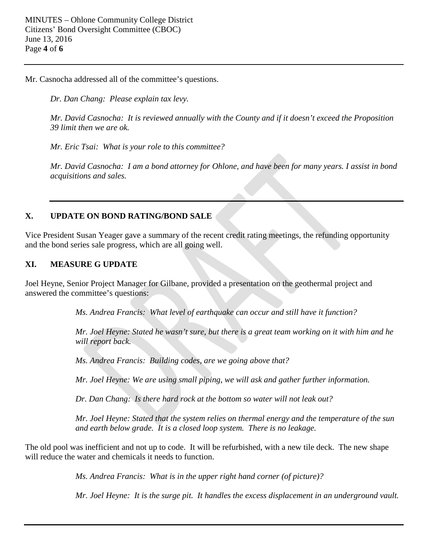Mr. Casnocha addressed all of the committee's questions.

*Dr. Dan Chang: Please explain tax levy.*

*Mr. David Casnocha: It is reviewed annually with the County and if it doesn't exceed the Proposition 39 limit then we are ok.*

*Mr. Eric Tsai: What is your role to this committee?*

*Mr. David Casnocha: I am a bond attorney for Ohlone, and have been for many years. I assist in bond acquisitions and sales.*

#### **X. UPDATE ON BOND RATING/BOND SALE**

Vice President Susan Yeager gave a summary of the recent credit rating meetings, the refunding opportunity and the bond series sale progress, which are all going well.

#### **XI. MEASURE G UPDATE**

Joel Heyne, Senior Project Manager for Gilbane, provided a presentation on the geothermal project and answered the committee's questions:

*Ms. Andrea Francis: What level of earthquake can occur and still have it function?*

*Mr. Joel Heyne: Stated he wasn't sure, but there is a great team working on it with him and he will report back.*

*Ms. Andrea Francis: Building codes, are we going above that?*

*Mr. Joel Heyne: We are using small piping, we will ask and gather further information.*

*Dr. Dan Chang: Is there hard rock at the bottom so water will not leak out?*

*Mr. Joel Heyne: Stated that the system relies on thermal energy and the temperature of the sun and earth below grade. It is a closed loop system. There is no leakage.*

The old pool was inefficient and not up to code. It will be refurbished, with a new tile deck. The new shape will reduce the water and chemicals it needs to function.

*Ms. Andrea Francis: What is in the upper right hand corner (of picture)?*

*Mr. Joel Heyne: It is the surge pit. It handles the excess displacement in an underground vault.*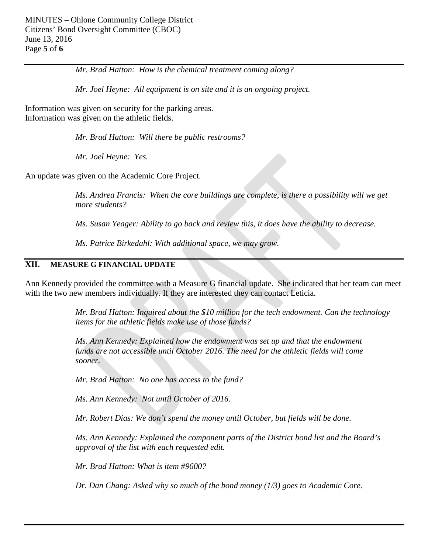*Mr. Brad Hatton: How is the chemical treatment coming along?*

*Mr. Joel Heyne: All equipment is on site and it is an ongoing project.*

Information was given on security for the parking areas. Information was given on the athletic fields.

*Mr. Brad Hatton: Will there be public restrooms?*

*Mr. Joel Heyne: Yes.*

An update was given on the Academic Core Project.

*Ms. Andrea Francis: When the core buildings are complete, is there a possibility will we get more students?*

*Ms. Susan Yeager: Ability to go back and review this, it does have the ability to decrease.*

*Ms. Patrice Birkedahl: With additional space, we may grow.*

#### **XII. MEASURE G FINANCIAL UPDATE**

Ann Kennedy provided the committee with a Measure G financial update. She indicated that her team can meet with the two new members individually. If they are interested they can contact Leticia.

> *Mr. Brad Hatton: Inquired about the \$10 million for the tech endowment. Can the technology items for the athletic fields make use of those funds?*

*Ms. Ann Kennedy: Explained how the endowment was set up and that the endowment funds are not accessible until October 2016. The need for the athletic fields will come sooner.*

*Mr. Brad Hatton: No one has access to the fund?*

*Ms. Ann Kennedy: Not until October of 2016.*

*Mr. Robert Dias: We don't spend the money until October, but fields will be done.*

*Ms. Ann Kennedy: Explained the component parts of the District bond list and the Board's approval of the list with each requested edit.*

*Mr. Brad Hatton: What is item #9600?*

*Dr. Dan Chang: Asked why so much of the bond money (1/3) goes to Academic Core.*